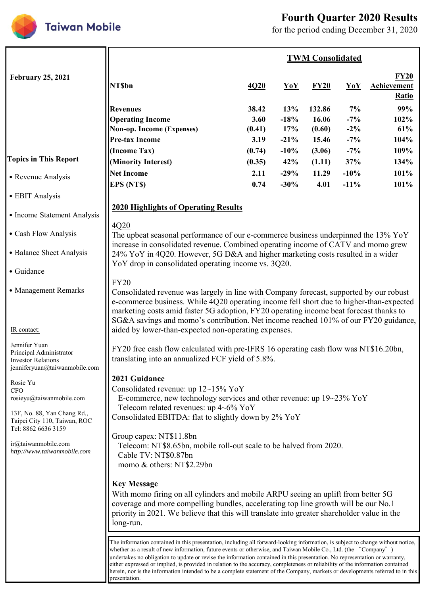

# **Fourth Quarter 2020 Results**

for the period ending December 31, 2020

|                                                                                                                   | <b>TWM Consolidated</b>                                                                                                                                                                                                                                                                                                                                                                                                                                                                                                                                                                                                                                                |                                 |                                |                                    |                                 |                                            |  |
|-------------------------------------------------------------------------------------------------------------------|------------------------------------------------------------------------------------------------------------------------------------------------------------------------------------------------------------------------------------------------------------------------------------------------------------------------------------------------------------------------------------------------------------------------------------------------------------------------------------------------------------------------------------------------------------------------------------------------------------------------------------------------------------------------|---------------------------------|--------------------------------|------------------------------------|---------------------------------|--------------------------------------------|--|
| <b>February 25, 2021</b>                                                                                          | <b>NT\$bn</b>                                                                                                                                                                                                                                                                                                                                                                                                                                                                                                                                                                                                                                                          | 4Q20                            | <b>YoY</b>                     | FY20                               | $\bf YoY$                       | FY20<br><b>Achievement</b><br><b>Ratio</b> |  |
|                                                                                                                   | <b>Revenues</b><br><b>Operating Income</b><br>Non-op. Income (Expenses)<br><b>Pre-tax Income</b>                                                                                                                                                                                                                                                                                                                                                                                                                                                                                                                                                                       | 38.42<br>3.60<br>(0.41)<br>3.19 | 13%<br>$-18%$<br>17%<br>$-21%$ | 132.86<br>16.06<br>(0.60)<br>15.46 | 7%<br>$-7%$<br>$-2\%$<br>$-7\%$ | 99%<br>102%<br>61%<br>104%                 |  |
| <b>Topics in This Report</b>                                                                                      | (Income Tax)<br>(Minority Interest)                                                                                                                                                                                                                                                                                                                                                                                                                                                                                                                                                                                                                                    | (0.74)<br>(0.35)                | $-10%$<br>42%                  | (3.06)<br>(1.11)                   | $-7\%$<br>37%                   | 109%<br>134%                               |  |
| • Revenue Analysis                                                                                                | <b>Net Income</b><br><b>EPS (NTS)</b>                                                                                                                                                                                                                                                                                                                                                                                                                                                                                                                                                                                                                                  | 2.11<br>0.74                    | $-29%$<br>$-30%$               | 11.29<br>4.01                      | $-10%$<br>$-11%$                | 101%<br>101%                               |  |
| • EBIT Analysis                                                                                                   |                                                                                                                                                                                                                                                                                                                                                                                                                                                                                                                                                                                                                                                                        |                                 |                                |                                    |                                 |                                            |  |
| • Income Statement Analysis                                                                                       | <b>2020 Highlights of Operating Results</b>                                                                                                                                                                                                                                                                                                                                                                                                                                                                                                                                                                                                                            |                                 |                                |                                    |                                 |                                            |  |
| • Cash Flow Analysis                                                                                              | 4Q20<br>The upbeat seasonal performance of our e-commerce business underpinned the 13% YoY                                                                                                                                                                                                                                                                                                                                                                                                                                                                                                                                                                             |                                 |                                |                                    |                                 |                                            |  |
| • Balance Sheet Analysis                                                                                          | increase in consolidated revenue. Combined operating income of CATV and momo grew<br>24% YoY in 4Q20. However, 5G D&A and higher marketing costs resulted in a wider                                                                                                                                                                                                                                                                                                                                                                                                                                                                                                   |                                 |                                |                                    |                                 |                                            |  |
| · Guidance                                                                                                        | YoY drop in consolidated operating income vs. 3Q20.                                                                                                                                                                                                                                                                                                                                                                                                                                                                                                                                                                                                                    |                                 |                                |                                    |                                 |                                            |  |
| • Management Remarks                                                                                              | <b>FY20</b><br>Consolidated revenue was largely in line with Company forecast, supported by our robust<br>e-commerce business. While 4Q20 operating income fell short due to higher-than-expected<br>marketing costs amid faster 5G adoption, FY20 operating income beat forecast thanks to<br>SG&A savings and momo's contribution. Net income reached 101% of our FY20 guidance,                                                                                                                                                                                                                                                                                     |                                 |                                |                                    |                                 |                                            |  |
| IR contact:                                                                                                       | aided by lower-than-expected non-operating expenses.                                                                                                                                                                                                                                                                                                                                                                                                                                                                                                                                                                                                                   |                                 |                                |                                    |                                 |                                            |  |
| Jennifer Yuan<br>Principal Administrator<br><b>Investor Relations</b><br>jenniferyuan@taiwanmobile.com            | FY20 free cash flow calculated with pre-IFRS 16 operating cash flow was NT\$16.20bn,<br>translating into an annualized FCF yield of 5.8%.                                                                                                                                                                                                                                                                                                                                                                                                                                                                                                                              |                                 |                                |                                    |                                 |                                            |  |
| Rosie Yu<br><b>CFO</b><br>rosieyu@taiwanmobile.com<br>13F, No. 88, Yan Chang Rd.,<br>Taipei City 110, Taiwan, ROC | 2021 Guidance<br>Consolidated revenue: up 12~15% YoY<br>E-commerce, new technology services and other revenue: up 19~23% YoY<br>Telecom related revenues: up $4\neg 6\%$ YoY<br>Consolidated EBITDA: flat to slightly down by 2% YoY                                                                                                                                                                                                                                                                                                                                                                                                                                   |                                 |                                |                                    |                                 |                                            |  |
| Tel: 8862 6636 3159<br>ir@taiwanmobile.com<br>http://www.taiwanmobile.com                                         | Group capex: NT\$11.8bn<br>Telecom: NT\$8.65bn, mobile roll-out scale to be halved from 2020.<br>Cable TV: NT\$0.87bn<br>momo & others: NT\$2.29bn                                                                                                                                                                                                                                                                                                                                                                                                                                                                                                                     |                                 |                                |                                    |                                 |                                            |  |
|                                                                                                                   | <b>Key Message</b><br>With momo firing on all cylinders and mobile ARPU seeing an uplift from better 5G<br>coverage and more compelling bundles, accelerating top line growth will be our No.1<br>priority in 2021. We believe that this will translate into greater shareholder value in the<br>long-run.                                                                                                                                                                                                                                                                                                                                                             |                                 |                                |                                    |                                 |                                            |  |
|                                                                                                                   | The information contained in this presentation, including all forward-looking information, is subject to change without notice,<br>whether as a result of new information, future events or otherwise, and Taiwan Mobile Co., Ltd. (the "Company")<br>undertakes no obligation to update or revise the information contained in this presentation. No representation or warranty,<br>either expressed or implied, is provided in relation to the accuracy, completeness or reliability of the information contained<br>herein, nor is the information intended to be a complete statement of the Company, markets or developments referred to in this<br>presentation. |                                 |                                |                                    |                                 |                                            |  |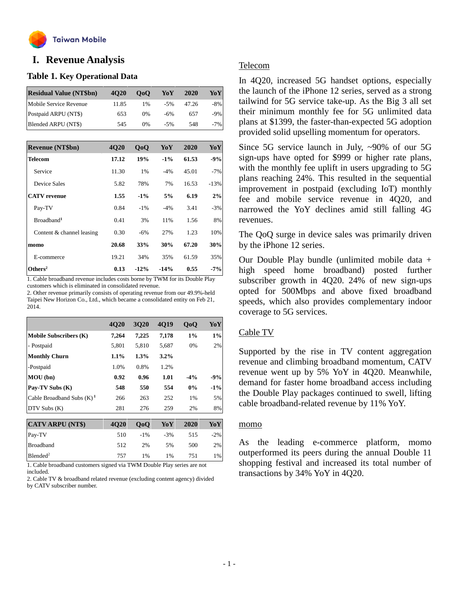

# **o I. Revenue Analysis**

#### **Table 1. Key Operational Data**

| <b>Residual Value (NT\$bn)</b> | 4020  | 0 <sub>0</sub> | YoY   | 2020  | YoY    |
|--------------------------------|-------|----------------|-------|-------|--------|
| Mobile Service Revenue         | 11.85 | 1%             | $-5%$ | 47.26 | -8%    |
| Postpaid ARPU (NT\$)           | 653   | $0\%$          | -6%   | 657   | $-9\%$ |
| Blended ARPU (NT\$)            | 545   | 0%             | $-5%$ | 548   | $-7\%$ |

| <b>Revenue (NT\$bn)</b>   | <b>4020</b> | $\bf 0$ | YoY    | 2020  | YoY    |
|---------------------------|-------------|---------|--------|-------|--------|
| Telecom                   | 17.12       | 19%     | $-1\%$ | 61.53 | $-9%$  |
| Service                   | 11.30       | 1%      | $-4%$  | 45.01 | $-7%$  |
| Device Sales              | 5.82        | 78%     | 7%     | 16.53 | $-13%$ |
| <b>CATV</b> revenue       | 1.55        | $-1\%$  | 5%     | 6.19  | 2%     |
| Pay-TV                    | 0.84        | $-1\%$  | $-4%$  | 3.41  | $-3%$  |
| Broadband <sup>1</sup>    | 0.41        | 3%      | 11%    | 1.56  | 8%     |
| Content & channel leasing | 0.30        | $-6%$   | 27%    | 1.23  | 10%    |
| momo                      | 20.68       | 33%     | 30%    | 67.20 | 30%    |
| E-commerce                | 19.21       | 34%     | 35%    | 61.59 | 35%    |
| Others <sup>2</sup>       | 0.13        | $-12%$  | $-14%$ | 0.55  | $-7%$  |

1. Cable broadband revenue includes costs borne by TWM for its Double Play customers which is eliminated in consolidated revenue.

2. Other revenue primarily consists of operating revenue from our 49.9%-held Taipei New Horizon Co., Ltd., which became a consolidated entity on Feb 21, 2014.

|                               | 4Q20    | <b>3Q20</b> | 4Q19    | QoQ    | YoY    |
|-------------------------------|---------|-------------|---------|--------|--------|
| <b>Mobile Subscribers (K)</b> | 7,264   | 7,225       | 7,178   | 1%     | $1\%$  |
| - Postpaid                    | 5,801   | 5,810       | 5,687   | 0%     | 2%     |
| <b>Monthly Churn</b>          | $1.1\%$ | $1.3\%$     | $3.2\%$ |        |        |
| -Postpaid                     | 1.0%    | 0.8%        | 1.2%    |        |        |
| MOU(bn)                       | 0.92    | 0.96        | 1.01    | $-4\%$ | $-9%$  |
| Pay-TV Subs (K)               | 548     | 550         | 554     | 0%     | $-1\%$ |
| Cable Broadband Subs $(K)^1$  | 266     | 263         | 252     | 1%     | 5%     |
| DTV Subs (K)                  | 281     | 276         | 259     | 2%     | 8%     |
|                               |         |             |         |        |        |
| <b>CATV ARPU (NT\$)</b>       | 4Q20    | QoQ         | YoY     | 2020   | YoY    |
| Pay-TV                        | 510     | $-1\%$      | $-3%$   | 515    | $-2%$  |
| <b>Broadband</b>              | 512     | 2%          | 5%      | 500    | 2%     |
| Blended <sup>2</sup>          | 757     | 1%          | 1%      | 751    | 1%     |

1. Cable broadband customers signed via TWM Double Play series are not included.

2. Cable TV & broadband related revenue (excluding content agency) divided by CATV subscriber number.

## Telecom

In 4Q20, increased 5G handset options, especially the launch of the iPhone 12 series, served as a strong tailwind for 5G service take-up. As the Big 3 all set their minimum monthly fee for 5G unlimited data plans at \$1399, the faster-than-expected 5G adoption provided solid upselling momentum for operators.

Since 5G service launch in July, ~90% of our 5G sign-ups have opted for \$999 or higher rate plans, with the monthly fee uplift in users upgrading to 5G plans reaching 24%. This resulted in the sequential improvement in postpaid (excluding IoT) monthly fee and mobile service revenue in 4Q20, and narrowed the YoY declines amid still falling 4G revenues.

The QoQ surge in device sales was primarily driven by the iPhone 12 series.

Our Double Play bundle (unlimited mobile data + high speed home broadband) posted further subscriber growth in 4Q20. 24% of new sign-ups opted for 500Mbps and above fixed broadband speeds, which also provides complementary indoor coverage to 5G services.

## Cable TV

Supported by the rise in TV content aggregation revenue and climbing broadband momentum, CATV revenue went up by 5% YoY in 4Q20. Meanwhile, demand for faster home broadband access including the Double Play packages continued to swell, lifting cable broadband-related revenue by 11% YoY.

#### momo

As the leading e-commerce platform, momo outperformed its peers during the annual Double 11 shopping festival and increased its total number of transactions by 34% YoY in 4Q20.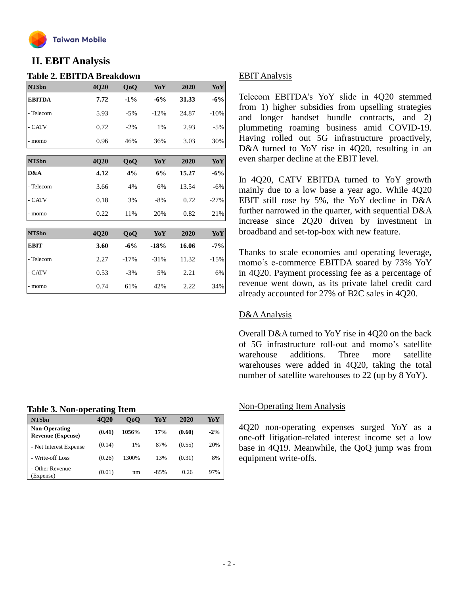

## **II. EBIT Analysis**

#### **Table 2. EBITDA Breakdown**

| NT\$bn        | 4Q20 | QoQ    | YoY     | 2020  | YoY    |
|---------------|------|--------|---------|-------|--------|
| <b>EBITDA</b> | 7.72 | $-1\%$ | $-6%$   | 31.33 | $-6%$  |
| - Telecom     | 5.93 | $-5%$  | $-12%$  | 24.87 | $-10%$ |
| - CATV        | 0.72 | $-2\%$ | 1%      | 2.93  | $-5%$  |
| - momo        | 0.96 | 46%    | 36%     | 3.03  | 30%    |
| NT\$bn        | 4Q20 | QoQ    | YoY     | 2020  | YoY    |
| D&A           | 4.12 | 4%     | 6%      | 15.27 | $-6%$  |
| - Telecom     | 3.66 | 4%     | 6%      | 13.54 | $-6%$  |
| - CATV        | 0.18 | 3%     | $-8%$   | 0.72  | $-27%$ |
| - momo        | 0.22 | 11%    | 20%     | 0.82  | 21%    |
|               |      |        |         |       |        |
| NT\$bn        | 4Q20 | QoQ    | YoY     | 2020  | YoY    |
| <b>EBIT</b>   | 3.60 | $-6%$  | $-18%$  | 16.06 | $-7%$  |
| - Telecom     | 2.27 | $-17%$ | $-31\%$ | 11.32 | $-15%$ |
| - CATV        | 0.53 | $-3%$  | 5%      | 2.21  | 6%     |
| - momo        | 0.74 | 61%    | 42%     | 2.22  | 34%    |

#### **Table 3. Non-operating Item**

| NT\$bn                                           | . .<br><b>4020</b> | 0 <sub>0</sub> | YoY    | 2020   | YoY    |
|--------------------------------------------------|--------------------|----------------|--------|--------|--------|
| <b>Non-Operating</b><br><b>Revenue (Expense)</b> | (0.41)             | 1056%          | 17%    | (0.60) | $-2\%$ |
| - Net Interest Expense                           | (0.14)             | $1\%$          | 87%    | (0.55) | 20%    |
| - Write-off Loss                                 | (0.26)             | 1300%          | 13%    | (0.31) | 8%     |
| - Other Revenue<br>(Expense)                     | (0.01)             | nm             | $-85%$ | 0.26   | 97%    |

## EBIT Analysis

Telecom EBITDA's YoY slide in 4Q20 stemmed from 1) higher subsidies from upselling strategies and longer handset bundle contracts, and 2) plummeting roaming business amid COVID-19. Having rolled out 5G infrastructure proactively, D&A turned to YoY rise in 4Q20, resulting in an even sharper decline at the EBIT level.

In 4Q20, CATV EBITDA turned to YoY growth mainly due to a low base a year ago. While 4Q20 EBIT still rose by 5%, the YoY decline in D&A further narrowed in the quarter, with sequential D&A increase since 2Q20 driven by investment in broadband and set-top-box with new feature.

Thanks to scale economies and operating leverage, momo's e-commerce EBITDA soared by 73% YoY in 4Q20. Payment processing fee as a percentage of revenue went down, as its private label credit card already accounted for 27% of B2C sales in 4Q20.

## D&AAnalysis

Overall D&A turned to YoY rise in 4Q20 on the back of 5G infrastructure roll-out and momo's satellite warehouse additions. Three more satellite warehouses were added in 4Q20, taking the total number of satellite warehouses to 22 (up by 8 YoY).

## Non-Operating Item Analysis

4Q20 non-operating expenses surged YoY as a one-off litigation-related interest income set a low base in 4Q19. Meanwhile, the QoQ jump was from equipment write-offs.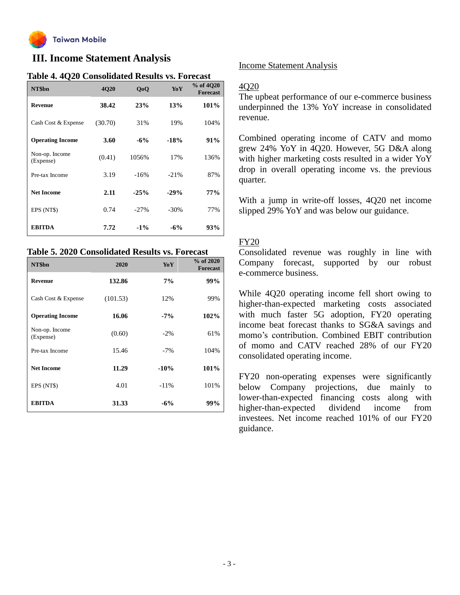

## **III. Income Statement Analysis**

| NT\$bn                      | 4Q20    | QoQ    | YoY     | % of 4020<br><b>Forecast</b> |
|-----------------------------|---------|--------|---------|------------------------------|
| <b>Revenue</b>              | 38.42   | 23%    | 13%     | 101%                         |
| Cash Cost & Expense         | (30.70) | 31%    | 19%     | 104%                         |
| <b>Operating Income</b>     | 3.60    | $-6%$  | $-18%$  | 91%                          |
| Non-op. Income<br>(Expense) | (0.41)  | 1056%  | 17%     | 136%                         |
| Pre-tax Income              | 3.19    | $-16%$ | $-21%$  | 87%                          |
| <b>Net Income</b>           | 2.11    | $-25%$ | $-29%$  | 77%                          |
| EPS (NT\$)                  | 0.74    | $-27%$ | $-30\%$ | 77%                          |
| <b>EBITDA</b>               | 7.72    | $-1\%$ | $-6%$   | 93%                          |

## **Table 4. 4Q20 Consolidated Results vs. Forecast**

## **Table 5. 2020 Consolidated Results vs. Forecast**

| NT\$bn                      | 2020     | YoY     | $%$ of 2020<br><b>Forecast</b> |
|-----------------------------|----------|---------|--------------------------------|
| <b>Revenue</b>              | 132.86   | 7%      | 99%                            |
| Cash Cost & Expense         | (101.53) | 12%     | 99%                            |
| <b>Operating Income</b>     | 16.06    | $-7%$   | 102%                           |
| Non-op. Income<br>(Expense) | (0.60)   | $-2%$   | 61%                            |
| Pre-tax Income              | 15.46    | $-7\%$  | 104%                           |
| <b>Net Income</b>           | 11.29    | $-10%$  | $101\%$                        |
| EPS (NT\$)                  | 4.01     | $-11\%$ | 101%                           |
| <b>EBITDA</b>               | 31.33    | $-6%$   | 99%                            |

## Income Statement Analysis

## 4Q20

The upbeat performance of our e-commerce business underpinned the 13% YoY increase in consolidated revenue.

Combined operating income of CATV and momo grew 24% YoY in 4Q20. However, 5G D&A along with higher marketing costs resulted in a wider YoY drop in overall operating income vs. the previous quarter.

With a jump in write-off losses, 4Q20 net income slipped 29% YoY and was below our guidance.

## FY20

Consolidated revenue was roughly in line with Company forecast, supported by our robust e-commerce business.

While 4Q20 operating income fell short owing to higher-than-expected marketing costs associated with much faster 5G adoption, FY20 operating income beat forecast thanks to SG&A savings and momo's contribution. Combined EBIT contribution of momo and CATV reached 28% of our FY20 consolidated operating income.

FY20 non-operating expenses were significantly below Company projections, due mainly to lower-than-expected financing costs along with higher-than-expected dividend income from investees. Net income reached 101% of our FY20 guidance.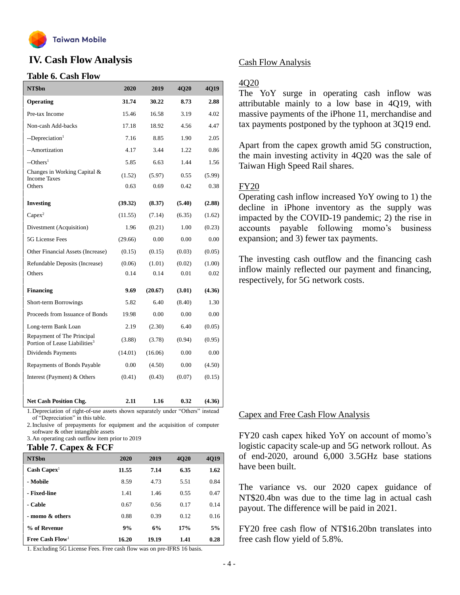

## **IV. Cash Flow Analysis**

#### **Table 6. Cash Flow**

| NT\$bn                                                                  | 2020    | 2019    | 4Q20   | 4Q19   |
|-------------------------------------------------------------------------|---------|---------|--------|--------|
| Operating                                                               | 31.74   | 30.22   | 8.73   | 2.88   |
| Pre-tax Income                                                          | 15.46   | 16.58   | 3.19   | 4.02   |
| Non-cash Add-backs                                                      | 17.18   | 18.92   | 4.56   | 4.47   |
| --Depreciation <sup>1</sup>                                             | 7.16    | 8.85    | 1.90   | 2.05   |
| --Amortization                                                          | 4.17    | 3.44    | 1.22   | 0.86   |
| $-$ Others <sup>1</sup>                                                 | 5.85    | 6.63    | 1.44   | 1.56   |
| Changes in Working Capital &<br><b>Income Taxes</b>                     | (1.52)  | (5.97)  | 0.55   | (5.99) |
| Others                                                                  | 0.63    | 0.69    | 0.42   | 0.38   |
| <b>Investing</b>                                                        | (39.32) | (8.37)  | (5.40) | (2.88) |
| $Capex^2$                                                               | (11.55) | (7.14)  | (6.35) | (1.62) |
| Divestment (Acquisition)                                                | 1.96    | (0.21)  | 1.00   | (0.23) |
| 5G License Fees                                                         | (29.66) | 0.00    | 0.00   | 0.00   |
| Other Financial Assets (Increase)                                       | (0.15)  | (0.15)  | (0.03) | (0.05) |
| Refundable Deposits (Increase)                                          | (0.06)  | (1.01)  | (0.02) | (1.00) |
| <b>Others</b>                                                           | 0.14    | 0.14    | 0.01   | 0.02   |
| <b>Financing</b>                                                        | 9.69    | (20.67) | (3.01) | (4.36) |
| Short-term Borrowings                                                   | 5.82    | 6.40    | (8.40) | 1.30   |
| Proceeds from Issuance of Bonds                                         | 19.98   | 0.00    | 0.00   | 0.00   |
| Long-term Bank Loan                                                     | 2.19    | (2.30)  | 6.40   | (0.05) |
| Repayment of The Principal<br>Portion of Lease Liabilities <sup>3</sup> | (3.88)  | (3.78)  | (0.94) | (0.95) |
| Dividends Payments                                                      | (14.01) | (16.06) | 0.00   | 0.00   |
| Repayments of Bonds Payable                                             | 0.00    | (4.50)  | 0.00   | (4.50) |
| Interest (Payment) & Others                                             | (0.41)  | (0.43)  | (0.07) | (0.15) |
|                                                                         |         |         |        |        |
| <b>Net Cash Position Chg.</b>                                           | 2.11    | 1.16    | 0.32   | (4.36) |

1.Depreciation of right-of-use assets shown separately under "Others" instead of "Depreciation" in this table.

2.Inclusive of prepayments for equipment and the acquisition of computer software & other intangible assets

3.An operating cash outflow item prior to 2019

#### **Table 7. Capex & FCF**

| NT\$bn                        | 2020  | 2019  | <b>4020</b> | 4Q19 |
|-------------------------------|-------|-------|-------------|------|
| $\text{Cash} \text{ Capex}^1$ | 11.55 | 7.14  | 6.35        | 1.62 |
| - Mobile                      | 8.59  | 4.73  | 5.51        | 0.84 |
| - Fixed-line                  | 1.41  | 1.46  | 0.55        | 0.47 |
| - Cable                       | 0.67  | 0.56  | 0.17        | 0.14 |
| - momo & others               | 0.88  | 0.39  | 0.12        | 0.16 |
| % of Revenue                  | 9%    | 6%    | 17%         | 5%   |
| Free Cash Flow <sup>1</sup>   | 16.20 | 19.19 | 1.41        | 0.28 |

1. Excluding 5G License Fees. Free cash flow was on pre-IFRS 16 basis.

## Cash Flow Analysis

#### 4Q20

The YoY surge in operating cash inflow was attributable mainly to a low base in 4Q19, with massive payments of the iPhone 11, merchandise and tax payments postponed by the typhoon at 3Q19 end.

Apart from the capex growth amid 5G construction, the main investing activity in 4Q20 was the sale of Taiwan High Speed Rail shares.

#### FY20

Operating cash inflow increased YoY owing to 1) the decline in iPhone inventory as the supply was impacted by the COVID-19 pandemic; 2) the rise in accounts payable following momo's business expansion; and 3) fewer tax payments.

The investing cash outflow and the financing cash inflow mainly reflected our payment and financing, respectively, for 5G network costs.

#### Capex and Free Cash Flow Analysis

FY20 cash capex hiked YoY on account of momo's logistic capacity scale-up and 5G network rollout. As of end-2020, around 6,000 3.5GHz base stations have been built.

The variance vs. our 2020 capex guidance of NT\$20.4bn was due to the time lag in actual cash payout. The difference will be paid in 2021.

FY20 free cash flow of NT\$16.20bn translates into free cash flow yield of 5.8%.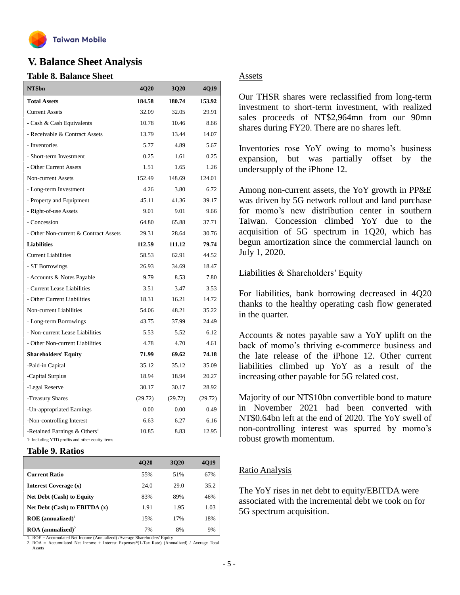

## **V. Balance Sheet Analysis**

#### **Table 8. Balance Sheet**

| NT\$bn                                     | <b>4Q20</b> | <b>3Q20</b> | 4Q19    |
|--------------------------------------------|-------------|-------------|---------|
| <b>Total Assets</b>                        | 184.58      | 180.74      | 153.92  |
| <b>Current Assets</b>                      | 32.09       | 32.05       | 29.91   |
| - Cash & Cash Equivalents                  | 10.78       | 10.46       | 8.66    |
| - Receivable & Contract Assets             | 13.79       | 13.44       | 14.07   |
| - Inventories                              | 5.77        | 4.89        | 5.67    |
| - Short-term Investment                    | 0.25        | 1.61        | 0.25    |
| - Other Current Assets                     | 1.51        | 1.65        | 1.26    |
| Non-current Assets                         | 152.49      | 148.69      | 124.01  |
| - Long-term Investment                     | 4.26        | 3.80        | 6.72    |
| - Property and Equipment                   | 45.11       | 41.36       | 39.17   |
| - Right-of-use Assets                      | 9.01        | 9.01        | 9.66    |
| - Concession                               | 64.80       | 65.88       | 37.71   |
| - Other Non-current & Contract Assets      | 29.31       | 28.64       | 30.76   |
| <b>Liabilities</b>                         | 112.59      | 111.12      | 79.74   |
| <b>Current Liabilities</b>                 | 58.53       | 62.91       | 44.52   |
| - ST Borrowings                            | 26.93       | 34.69       | 18.47   |
| - Accounts & Notes Payable                 | 9.79        | 8.53        | 7.80    |
| - Current Lease Liabilities                | 3.51        | 3.47        | 3.53    |
| - Other Current Liabilities                | 18.31       | 16.21       | 14.72   |
| Non-current Liabilities                    | 54.06       | 48.21       | 35.22   |
| - Long-term Borrowings                     | 43.75       | 37.99       | 24.49   |
| - Non-current Lease Liabilities            | 5.53        | 5.52        | 6.12    |
| - Other Non-current Liabilities            | 4.78        | 4.70        | 4.61    |
| <b>Shareholders' Equity</b>                | 71.99       | 69.62       | 74.18   |
| -Paid-in Capital                           | 35.12       | 35.12       | 35.09   |
| -Capital Surplus                           | 18.94       | 18.94       | 20.27   |
| -Legal Reserve                             | 30.17       | 30.17       | 28.92   |
| -Treasury Shares                           | (29.72)     | (29.72)     | (29.72) |
| -Un-appropriated Earnings                  | 0.00        | 0.00        | 0.49    |
| -Non-controlling Interest                  | 6.63        | 6.27        | 6.16    |
| -Retained Earnings $&$ Others <sup>1</sup> | 10.85       | 8.83        | 12.95   |

1: Including YTD profits and other equity items

#### **Table 9. Ratios**

|                                        | <b>4020</b> | 3020 | 4019 |
|----------------------------------------|-------------|------|------|
| <b>Current Ratio</b>                   | 55%         | 51%  | 67%  |
| Interest Coverage (x)                  | 24.0        | 29.0 | 35.2 |
| <b>Net Debt (Cash) to Equity</b>       | 83%         | 89%  | 46%  |
| Net Debt $(Cash)$ to EBITDA $(x)$      | 1.91        | 1.95 | 1.03 |
| $ROE$ (annualized) <sup>1</sup>        | 15%         | 17%  | 18%  |
| $\text{ROA}$ (annualized) <sup>2</sup> | 7%          | 8%   | 9%   |

1. ROE = Accumulated Net Income (Annualized) /Average Shareholders' Equity

2. ROA = Accumulated Net Income + Interest Expenses\*(1-Tax Rate) (Annualized) / Average Total Assets

#### Assets

Our THSR shares were reclassified from long-term investment to short-term investment, with realized sales proceeds of NT\$2,964mn from our 90mn shares during FY20. There are no shares left.

Inventories rose YoY owing to momo's business expansion, but was partially offset by the undersupply of the iPhone 12.

Among non-current assets, the YoY growth in PP&E was driven by 5G network rollout and land purchase for momo's new distribution center in southern Taiwan. Concession climbed YoY due to the acquisition of 5G spectrum in 1Q20, which has begun amortization since the commercial launch on July 1, 2020.

#### Liabilities & Shareholders' Equity

For liabilities, bank borrowing decreased in 4Q20 thanks to the healthy operating cash flow generated in the quarter.

Accounts & notes payable saw a YoY uplift on the back of momo's thriving e-commerce business and the late release of the iPhone 12. Other current liabilities climbed up YoY as a result of the increasing other payable for 5G related cost.

Majority of our NT\$10bn convertible bond to mature in November 2021 had been converted with NT\$0.64bn left at the end of 2020. The YoY swell of non-controlling interest was spurred by momo's robust growth momentum.

## Ratio Analysis

The YoY rises in net debt to equity/EBITDA were associated with the incremental debt we took on for 5G spectrum acquisition.